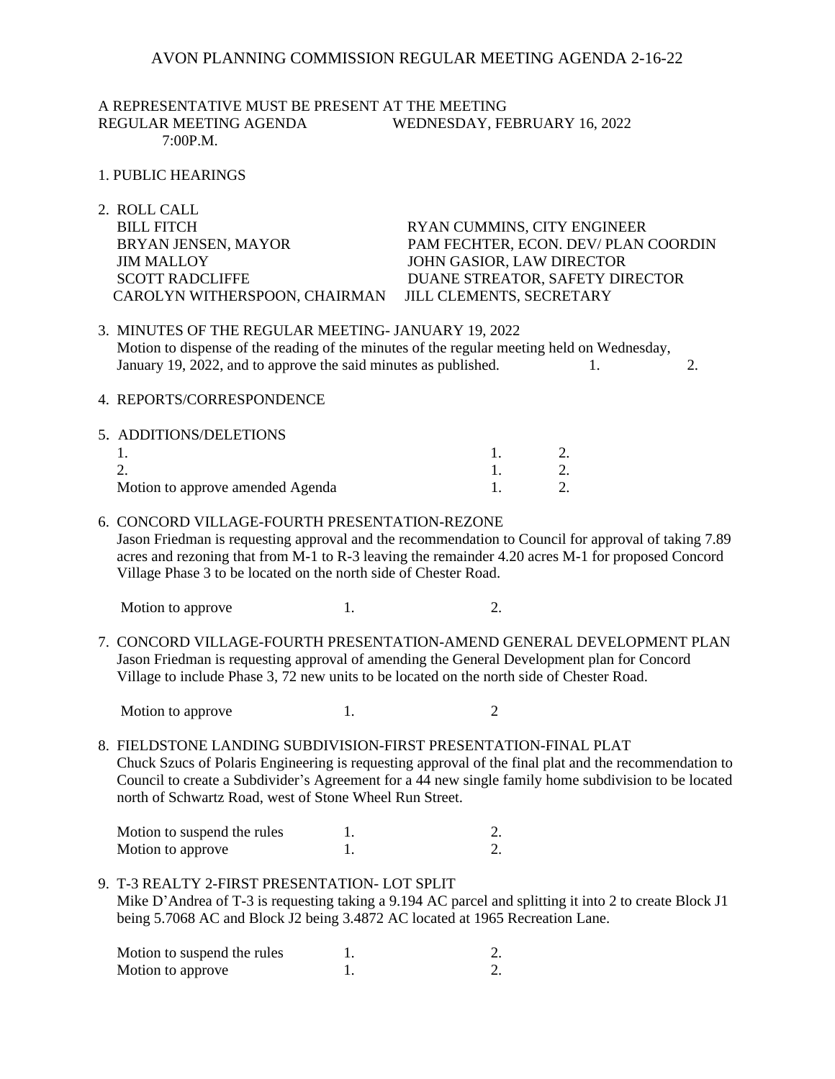### AVON PLANNING COMMISSION REGULAR MEETING AGENDA 2-16-22

A REPRESENTATIVE MUST BE PRESENT AT THE MEETING REGULAR MEETING AGENDA WEDNESDAY, FEBRUARY 16, 2022 7:00P.M.

- 1. PUBLIC HEARINGS
- 2. ROLL CALL BILL FITCH RYAN CUMMINS, CITY ENGINEER BRYAN JENSEN, MAYOR PAM FECHTER, ECON. DEV/ PLAN COORDIN JIM MALLOY JOHN GASIOR, LAW DIRECTOR SCOTT RADCLIFFE DUANE STREATOR, SAFETY DIRECTOR CAROLYN WITHERSPOON, CHAIRMAN JILL CLEMENTS, SECRETARY
- 3. MINUTES OF THE REGULAR MEETING- JANUARY 19, 2022 Motion to dispense of the reading of the minutes of the regular meeting held on Wednesday, January 19, 2022, and to approve the said minutes as published. 1. 2.
- 4. REPORTS/CORRESPONDENCE

| 5. ADDITIONS/DELETIONS           |  |
|----------------------------------|--|
|                                  |  |
|                                  |  |
| Motion to approve amended Agenda |  |

#### 6. CONCORD VILLAGE-FOURTH PRESENTATION-REZONE

 Jason Friedman is requesting approval and the recommendation to Council for approval of taking 7.89 acres and rezoning that from M-1 to R-3 leaving the remainder 4.20 acres M-1 for proposed Concord Village Phase 3 to be located on the north side of Chester Road.

Motion to approve 1. 2.

7. CONCORD VILLAGE-FOURTH PRESENTATION-AMEND GENERAL DEVELOPMENT PLAN Jason Friedman is requesting approval of amending the General Development plan for Concord Village to include Phase 3, 72 new units to be located on the north side of Chester Road.

Motion to approve 1. 2

8. FIELDSTONE LANDING SUBDIVISION-FIRST PRESENTATION-FINAL PLAT Chuck Szucs of Polaris Engineering is requesting approval of the final plat and the recommendation to Council to create a Subdivider's Agreement for a 44 new single family home subdivision to be located north of Schwartz Road, west of Stone Wheel Run Street.

| Motion to suspend the rules |  |
|-----------------------------|--|
| Motion to approve           |  |

9. T-3 REALTY 2-FIRST PRESENTATION- LOT SPLIT Mike D'Andrea of T-3 is requesting taking a 9.194 AC parcel and splitting it into 2 to create Block J1 being 5.7068 AC and Block J2 being 3.4872 AC located at 1965 Recreation Lane.

| Motion to suspend the rules |  |
|-----------------------------|--|
| Motion to approve           |  |